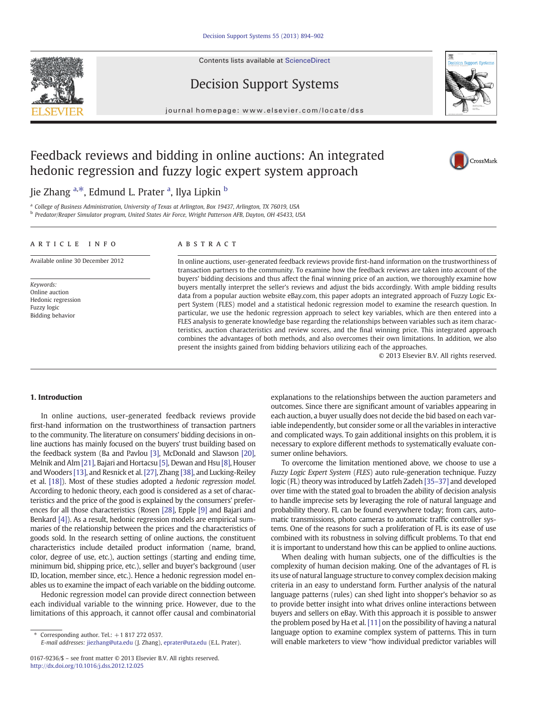Contents lists available at [ScienceDirect](http://www.sciencedirect.com/science/journal/01679236)







journal homepage: www.elsevier.com/locate/dss

# Feedback reviews and bidding in online auctions: An integrated hedonic regression and fuzzy logic expert system approach

# CrossMark

## Jie Zhang <sup>a,\*</sup>, Edmund L. Prater <sup>a</sup>, Ilya Lipkin <sup>b</sup>

<sup>a</sup> College of Business Administration, University of Texas at Arlington, Box 19437, Arlington, TX 76019, USA <sup>b</sup> Predator/Reaper Simulator program, United States Air Force, Wright Patterson AFB, Dayton, OH 45433, USA

#### ARTICLE INFO ABSTRACT

Available online 30 December 2012

Keywords: Online auction Hedonic regression Fuzzy logic Bidding behavior

In online auctions, user-generated feedback reviews provide first-hand information on the trustworthiness of transaction partners to the community. To examine how the feedback reviews are taken into account of the buyers' bidding decisions and thus affect the final winning price of an auction, we thoroughly examine how buyers mentally interpret the seller's reviews and adjust the bids accordingly. With ample bidding results data from a popular auction website eBay.com, this paper adopts an integrated approach of Fuzzy Logic Expert System (FLES) model and a statistical hedonic regression model to examine the research question. In particular, we use the hedonic regression approach to select key variables, which are then entered into a FLES analysis to generate knowledge base regarding the relationships between variables such as item characteristics, auction characteristics and review scores, and the final winning price. This integrated approach combines the advantages of both methods, and also overcomes their own limitations. In addition, we also present the insights gained from bidding behaviors utilizing each of the approaches.

© 2013 Elsevier B.V. All rights reserved.

#### 1. Introduction

In online auctions, user-generated feedback reviews provide first-hand information on the trustworthiness of transaction partners to the community. The literature on consumers' bidding decisions in online auctions has mainly focused on the buyers' trust building based on the feedback system (Ba and Pavlou [\[3\]](#page--1-0), McDonald and Slawson [\[20\],](#page--1-0) Melnik and Alm [\[21\],](#page--1-0) Bajari and Hortacsu [\[5\],](#page--1-0) Dewan and Hsu [\[8\]](#page--1-0), Houser and Wooders [\[13\]](#page--1-0), and Resnick et al. [\[27\]](#page--1-0), Zhang [\[38\]](#page--1-0), and Lucking-Reiley et al. [\[18\]\)](#page--1-0). Most of these studies adopted a hedonic regression model. According to hedonic theory, each good is considered as a set of characteristics and the price of the good is explained by the consumers' preferences for all those characteristics (Rosen [\[28\]](#page--1-0), Epple [\[9\]](#page--1-0) and Bajari and Benkard [\[4\]\)](#page--1-0). As a result, hedonic regression models are empirical summaries of the relationship between the prices and the characteristics of goods sold. In the research setting of online auctions, the constituent characteristics include detailed product information (name, brand, color, degree of use, etc.), auction settings (starting and ending time, minimum bid, shipping price, etc.), seller and buyer's background (user ID, location, member since, etc.). Hence a hedonic regression model enables us to examine the impact of each variable on the bidding outcome.

Hedonic regression model can provide direct connection between each individual variable to the winning price. However, due to the limitations of this approach, it cannot offer causal and combinatorial

E-mail addresses: [jiezhang@uta.edu](mailto:jiezhang@uta.edu) (J. Zhang), [eprater@uta.edu](mailto:eprater@uta.edu) (E.L. Prater).

explanations to the relationships between the auction parameters and outcomes. Since there are significant amount of variables appearing in each auction, a buyer usually does not decide the bid based on each variable independently, but consider some or all the variables in interactive and complicated ways. To gain additional insights on this problem, it is necessary to explore different methods to systematically evaluate consumer online behaviors.

To overcome the limitation mentioned above, we choose to use a Fuzzy Logic Expert System (FLES) auto rule-generation technique. Fuzzy logic (FL) theory was introduced by Latfeh Zadeh [35–[37\]](#page--1-0) and developed over time with the stated goal to broaden the ability of decision analysis to handle imprecise sets by leveraging the role of natural language and probability theory. FL can be found everywhere today; from cars, automatic transmissions, photo cameras to automatic traffic controller systems. One of the reasons for such a proliferation of FL is its ease of use combined with its robustness in solving difficult problems. To that end it is important to understand how this can be applied to online auctions.

When dealing with human subjects, one of the difficulties is the complexity of human decision making. One of the advantages of FL is its use of natural language structure to convey complex decision making criteria in an easy to understand form. Further analysis of the natural language patterns (rules) can shed light into shopper's behavior so as to provide better insight into what drives online interactions between buyers and sellers on eBay. With this approach it is possible to answer the problem posed by Ha et al. [\[11\]](#page--1-0) on the possibility of having a natural language option to examine complex system of patterns. This in turn will enable marketers to view "how individual predictor variables will

<sup>⁎</sup> Corresponding author. Tel.: +1 817 272 0537.

<sup>0167-9236/\$</sup> – see front matter © 2013 Elsevier B.V. All rights reserved. <http://dx.doi.org/10.1016/j.dss.2012.12.025>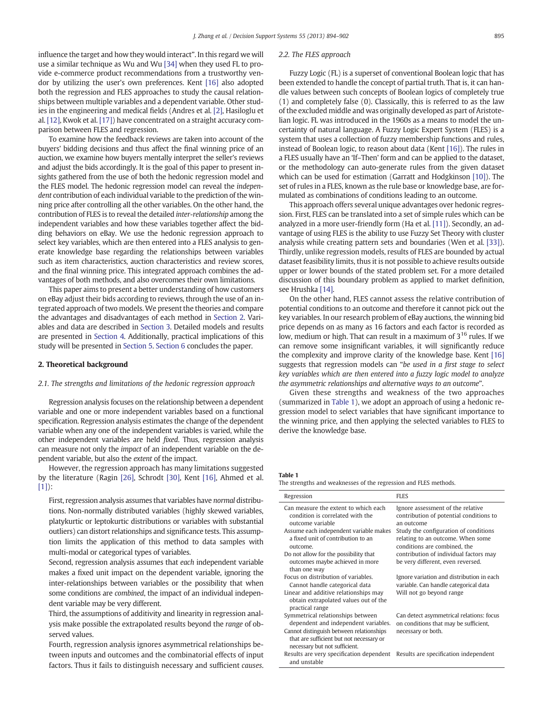influence the target and how they would interact". In this regard we will use a similar technique as Wu and Wu [\[34\]](#page--1-0) when they used FL to provide e-commerce product recommendations from a trustworthy vendor by utilizing the user's own preferences. Kent [\[16\]](#page--1-0) also adopted both the regression and FLES approaches to study the causal relationships between multiple variables and a dependent variable. Other studies in the engineering and medical fields (Andres et al. [\[2\],](#page--1-0) Hasiloglu et al. [\[12\],](#page--1-0) Kwok et al. [\[17\]\)](#page--1-0) have concentrated on a straight accuracy comparison between FLES and regression.

To examine how the feedback reviews are taken into account of the buyers' bidding decisions and thus affect the final winning price of an auction, we examine how buyers mentally interpret the seller's reviews and adjust the bids accordingly. It is the goal of this paper to present insights gathered from the use of both the hedonic regression model and the FLES model. The hedonic regression model can reveal the independent contribution of each individual variable to the prediction of the winning price after controlling all the other variables. On the other hand, the contribution of FLES is to reveal the detailed inter-relationship among the independent variables and how these variables together affect the bidding behaviors on eBay. We use the hedonic regression approach to select key variables, which are then entered into a FLES analysis to generate knowledge base regarding the relationships between variables such as item characteristics, auction characteristics and review scores, and the final winning price. This integrated approach combines the advantages of both methods, and also overcomes their own limitations.

This paper aims to present a better understanding of how customers on eBay adjust their bids according to reviews, through the use of an integrated approach of two models. We present the theories and compare the advantages and disadvantages of each method in Section 2. Variables and data are described in [Section 3](#page--1-0). Detailed models and results are presented in [Section 4](#page--1-0). Additionally, practical implications of this study will be presented in [Section 5.](#page--1-0) [Section 6](#page--1-0) concludes the paper.

#### 2. Theoretical background

### 2.1. The strengths and limitations of the hedonic regression approach

Regression analysis focuses on the relationship between a dependent variable and one or more independent variables based on a functional specification. Regression analysis estimates the change of the dependent variable when any one of the independent variables is varied, while the other independent variables are held fixed. Thus, regression analysis can measure not only the impact of an independent variable on the dependent variable, but also the extent of the impact.

However, the regression approach has many limitations suggested by the literature (Ragin [\[26\]](#page--1-0), Schrodt [\[30\]](#page--1-0), Kent [\[16\]](#page--1-0), Ahmed et al.  $[1]$ :

First, regression analysis assumes that variables have normal distributions. Non-normally distributed variables (highly skewed variables, platykurtic or leptokurtic distributions or variables with substantial outliers) can distort relationships and significance tests. This assumption limits the application of this method to data samples with multi-modal or categorical types of variables.

Second, regression analysis assumes that each independent variable makes a fixed unit impact on the dependent variable, ignoring the inter-relationships between variables or the possibility that when some conditions are combined, the impact of an individual independent variable may be very different.

Third, the assumptions of additivity and linearity in regression analysis make possible the extrapolated results beyond the range of observed values.

Fourth, regression analysis ignores asymmetrical relationships between inputs and outcomes and the combinatorial effects of input factors. Thus it fails to distinguish necessary and sufficient causes.

#### 2.2. The FLES approach

Fuzzy Logic (FL) is a superset of conventional Boolean logic that has been extended to handle the concept of partial truth. That is, it can handle values between such concepts of Boolean logics of completely true (1) and completely false (0). Classically, this is referred to as the law of the excluded middle and was originally developed as part of Aristotelian logic. FL was introduced in the 1960s as a means to model the uncertainty of natural language. A Fuzzy Logic Expert System (FLES) is a system that uses a collection of fuzzy membership functions and rules, instead of Boolean logic, to reason about data (Kent [\[16\]\)](#page--1-0). The rules in a FLES usually have an 'If–Then' form and can be applied to the dataset, or the methodology can auto-generate rules from the given dataset which can be used for estimation (Garratt and Hodgkinson [\[10\]\)](#page--1-0). The set of rules in a FLES, known as the rule base or knowledge base, are formulated as combinations of conditions leading to an outcome.

This approach offers several unique advantages over hedonic regression. First, FLES can be translated into a set of simple rules which can be analyzed in a more user-friendly form (Ha et al. [\[11\]](#page--1-0)). Secondly, an advantage of using FLES is the ability to use Fuzzy Set Theory with cluster analysis while creating pattern sets and boundaries (Wen et al. [\[33\]](#page--1-0)). Thirdly, unlike regression models, results of FLES are bounded by actual dataset feasibility limits, thus it is not possible to achieve results outside upper or lower bounds of the stated problem set. For a more detailed discussion of this boundary problem as applied to market definition, see Hrushka [\[14\].](#page--1-0)

On the other hand, FLES cannot assess the relative contribution of potential conditions to an outcome and therefore it cannot pick out the key variables. In our research problem of eBay auctions, the winning bid price depends on as many as 16 factors and each factor is recorded as low, medium or high. That can result in a maximum of  $3^{16}$  rules. If we can remove some insignificant variables, it will significantly reduce the complexity and improve clarity of the knowledge base. Kent [\[16\]](#page--1-0) suggests that regression models can "be used in a first stage to select key variables which are then entered into a fuzzy logic model to analyze the asymmetric relationships and alternative ways to an outcome".

Given these strengths and weakness of the two approaches (summarized in Table 1), we adopt an approach of using a hedonic regression model to select variables that have significant importance to the winning price, and then applying the selected variables to FLES to derive the knowledge base.

#### Table 1

The strengths and weaknesses of the regression and FLES methods.

| Regression                                                                                                            | <b>FLES</b>                                                                                                |
|-----------------------------------------------------------------------------------------------------------------------|------------------------------------------------------------------------------------------------------------|
| Can measure the extent to which each<br>condition is correlated with the<br>outcome variable                          | Ignore assessment of the relative<br>contribution of potential conditions to<br>an outcome                 |
| Assume each independent variable makes<br>a fixed unit of contribution to an<br>outcome                               | Study the configuration of conditions<br>relating to an outcome. When some<br>conditions are combined, the |
| Do not allow for the possibility that<br>outcomes maybe achieved in more<br>than one way                              | contribution of individual factors may<br>be very different, even reversed.                                |
| Focus on distribution of variables.<br>Cannot handle categorical data                                                 | Ignore variation and distribution in each<br>variable. Can handle categorical data                         |
| Linear and additive relationships may<br>obtain extrapolated values out of the<br>practical range                     | Will not go beyond range                                                                                   |
| Symmetrical relationships between<br>dependent and independent variables.                                             | Can detect asymmetrical relations: focus<br>on conditions that may be sufficient,                          |
| Cannot distinguish between relationships<br>that are sufficient but not necessary or<br>necessary but not sufficient. | necessary or both.                                                                                         |
| Results are very specification dependent<br>and unstable                                                              | Results are specification independent                                                                      |